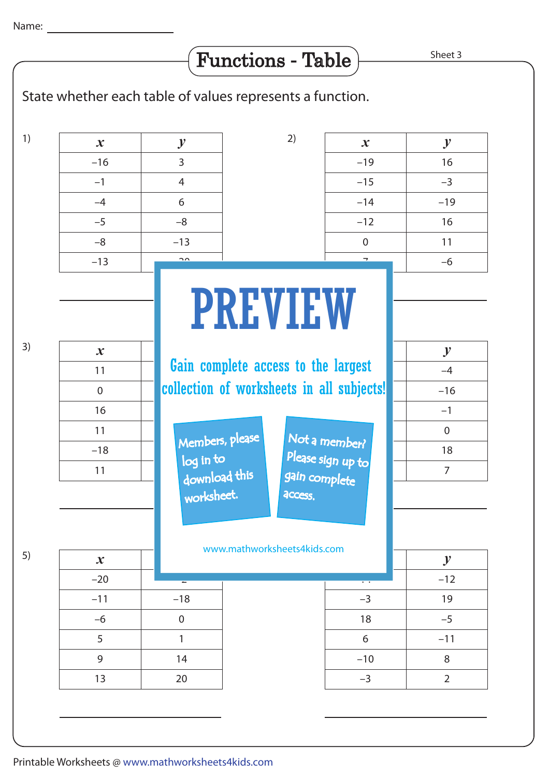